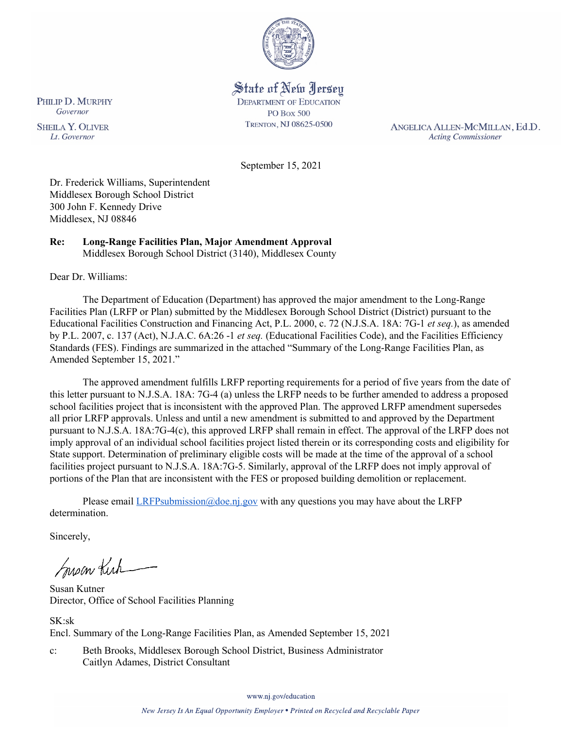

State of New Jersey **DEPARTMENT OF EDUCATION PO Box 500** TRENTON, NJ 08625-0500

ANGELICA ALLEN-MCMILLAN, Ed.D. **Acting Commissioner** 

September 15, 2021

Dr. Frederick Williams, Superintendent Middlesex Borough School District 300 John F. Kennedy Drive Middlesex, NJ 08846

#### **Re: Long-Range Facilities Plan, Major Amendment Approval**  Middlesex Borough School District (3140), Middlesex County

Dear Dr. Williams:

The Department of Education (Department) has approved the major amendment to the Long-Range Facilities Plan (LRFP or Plan) submitted by the Middlesex Borough School District (District) pursuant to the Educational Facilities Construction and Financing Act, P.L. 2000, c. 72 (N.J.S.A. 18A: 7G-1 *et seq.*), as amended by P.L. 2007, c. 137 (Act), N.J.A.C. 6A:26 -1 *et seq.* (Educational Facilities Code), and the Facilities Efficiency Standards (FES). Findings are summarized in the attached "Summary of the Long-Range Facilities Plan, as Amended September 15, 2021."

The approved amendment fulfills LRFP reporting requirements for a period of five years from the date of this letter pursuant to N.J.S.A. 18A: 7G-4 (a) unless the LRFP needs to be further amended to address a proposed school facilities project that is inconsistent with the approved Plan. The approved LRFP amendment supersedes all prior LRFP approvals. Unless and until a new amendment is submitted to and approved by the Department pursuant to N.J.S.A. 18A:7G-4(c), this approved LRFP shall remain in effect. The approval of the LRFP does not imply approval of an individual school facilities project listed therein or its corresponding costs and eligibility for State support. Determination of preliminary eligible costs will be made at the time of the approval of a school facilities project pursuant to N.J.S.A. 18A:7G-5. Similarly, approval of the LRFP does not imply approval of portions of the Plan that are inconsistent with the FES or proposed building demolition or replacement.

Please email  $LRFP submission@doe.nj.gov$  with any questions you may have about the LRFP determination.

Sincerely,

Susan Kich

Susan Kutner Director, Office of School Facilities Planning

SK:sk Encl. Summary of the Long-Range Facilities Plan, as Amended September 15, 2021

c: Beth Brooks, Middlesex Borough School District, Business Administrator Caitlyn Adames, District Consultant

www.nj.gov/education

PHILIP D. MURPHY Governor

**SHEILA Y. OLIVER** Lt. Governor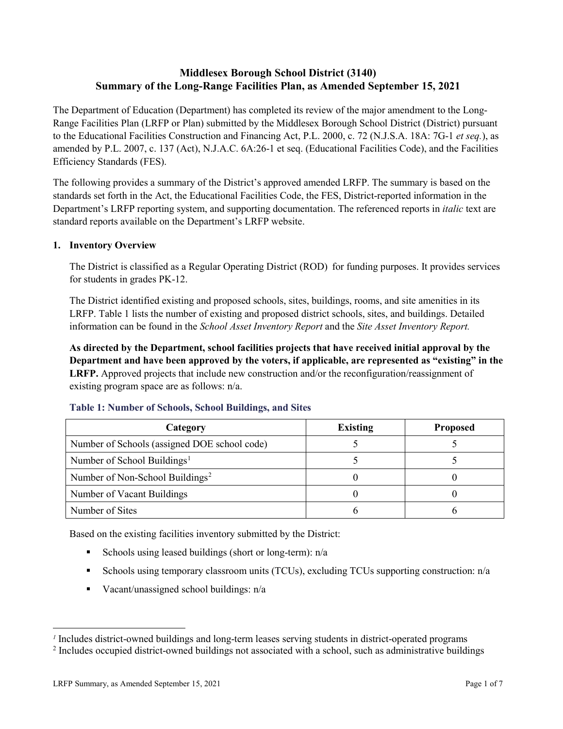# **Middlesex Borough School District (3140) Summary of the Long-Range Facilities Plan, as Amended September 15, 2021**

The Department of Education (Department) has completed its review of the major amendment to the Long-Range Facilities Plan (LRFP or Plan) submitted by the Middlesex Borough School District (District) pursuant to the Educational Facilities Construction and Financing Act, P.L. 2000, c. 72 (N.J.S.A. 18A: 7G-1 *et seq.*), as amended by P.L. 2007, c. 137 (Act), N.J.A.C. 6A:26-1 et seq. (Educational Facilities Code), and the Facilities Efficiency Standards (FES).

The following provides a summary of the District's approved amended LRFP. The summary is based on the standards set forth in the Act, the Educational Facilities Code, the FES, District-reported information in the Department's LRFP reporting system, and supporting documentation. The referenced reports in *italic* text are standard reports available on the Department's LRFP website.

# **1. Inventory Overview**

The District is classified as a Regular Operating District (ROD) for funding purposes. It provides services for students in grades PK-12.

The District identified existing and proposed schools, sites, buildings, rooms, and site amenities in its LRFP. Table 1 lists the number of existing and proposed district schools, sites, and buildings. Detailed information can be found in the *School Asset Inventory Report* and the *Site Asset Inventory Report.*

**As directed by the Department, school facilities projects that have received initial approval by the Department and have been approved by the voters, if applicable, are represented as "existing" in the LRFP.** Approved projects that include new construction and/or the reconfiguration/reassignment of existing program space are as follows: n/a.

| Category                                     | <b>Existing</b> | <b>Proposed</b> |
|----------------------------------------------|-----------------|-----------------|
| Number of Schools (assigned DOE school code) |                 |                 |
| Number of School Buildings <sup>1</sup>      |                 |                 |
| Number of Non-School Buildings <sup>2</sup>  |                 |                 |
| Number of Vacant Buildings                   |                 |                 |
| Number of Sites                              |                 |                 |

#### **Table 1: Number of Schools, School Buildings, and Sites**

Based on the existing facilities inventory submitted by the District:

- Schools using leased buildings (short or long-term):  $n/a$
- Schools using temporary classroom units (TCUs), excluding TCUs supporting construction: n/a
- Vacant/unassigned school buildings:  $n/a$

 $\overline{a}$ 

<span id="page-1-1"></span><span id="page-1-0"></span>*<sup>1</sup>* Includes district-owned buildings and long-term leases serving students in district-operated programs

<sup>&</sup>lt;sup>2</sup> Includes occupied district-owned buildings not associated with a school, such as administrative buildings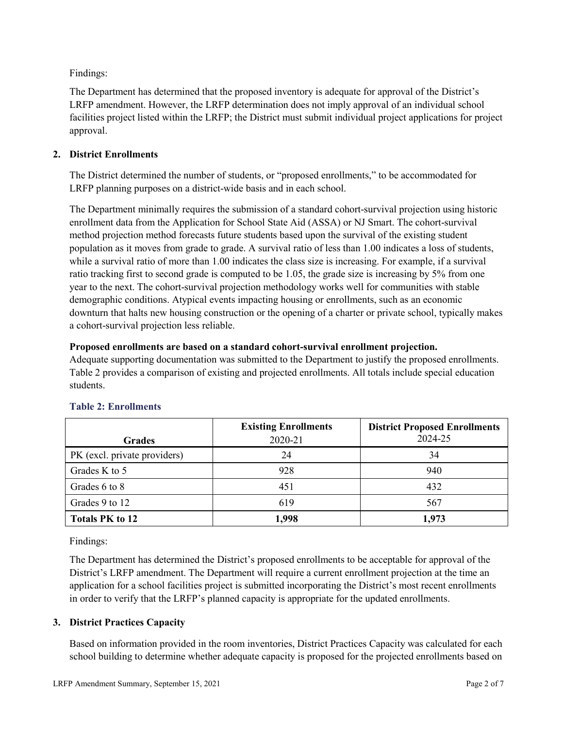Findings:

The Department has determined that the proposed inventory is adequate for approval of the District's LRFP amendment. However, the LRFP determination does not imply approval of an individual school facilities project listed within the LRFP; the District must submit individual project applications for project approval.

# **2. District Enrollments**

The District determined the number of students, or "proposed enrollments," to be accommodated for LRFP planning purposes on a district-wide basis and in each school.

The Department minimally requires the submission of a standard cohort-survival projection using historic enrollment data from the Application for School State Aid (ASSA) or NJ Smart. The cohort-survival method projection method forecasts future students based upon the survival of the existing student population as it moves from grade to grade. A survival ratio of less than 1.00 indicates a loss of students, while a survival ratio of more than 1.00 indicates the class size is increasing. For example, if a survival ratio tracking first to second grade is computed to be 1.05, the grade size is increasing by 5% from one year to the next. The cohort-survival projection methodology works well for communities with stable demographic conditions. Atypical events impacting housing or enrollments, such as an economic downturn that halts new housing construction or the opening of a charter or private school, typically makes a cohort-survival projection less reliable.

#### **Proposed enrollments are based on a standard cohort-survival enrollment projection.**

Adequate supporting documentation was submitted to the Department to justify the proposed enrollments. Table 2 provides a comparison of existing and projected enrollments. All totals include special education students.

|                              | <b>Existing Enrollments</b> | <b>District Proposed Enrollments</b> |
|------------------------------|-----------------------------|--------------------------------------|
| <b>Grades</b>                | 2020-21                     | 2024-25                              |
| PK (excl. private providers) | 24                          | 34                                   |
| Grades K to 5                | 928                         | 940                                  |
| Grades 6 to 8                | 451                         | 432                                  |
| Grades 9 to 12               | 619                         | 567                                  |
| <b>Totals PK to 12</b>       | 1,998                       | 1,973                                |

# **Table 2: Enrollments**

Findings:

The Department has determined the District's proposed enrollments to be acceptable for approval of the District's LRFP amendment. The Department will require a current enrollment projection at the time an application for a school facilities project is submitted incorporating the District's most recent enrollments in order to verify that the LRFP's planned capacity is appropriate for the updated enrollments.

# **3. District Practices Capacity**

Based on information provided in the room inventories, District Practices Capacity was calculated for each school building to determine whether adequate capacity is proposed for the projected enrollments based on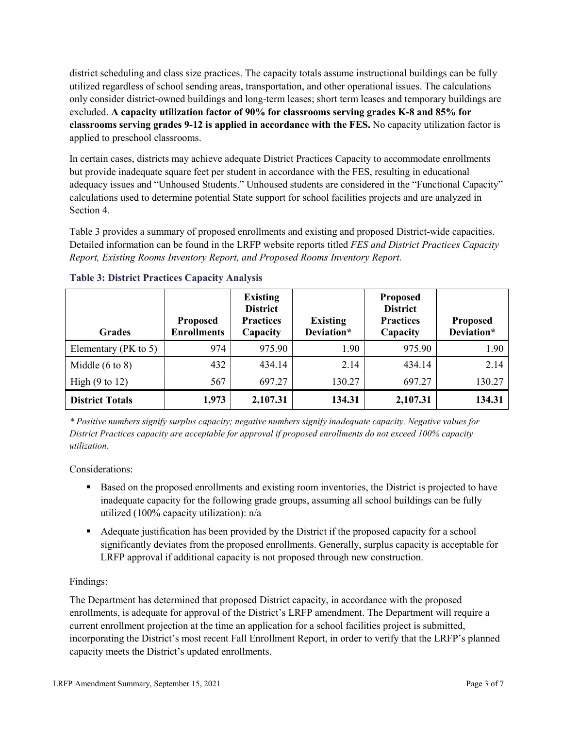district scheduling and class size practices. The capacity totals assume instructional buildings can be fully utilized regardless of school sending areas, transportation, and other operational issues. The calculations only consider district-owned buildings and long-term leases; short term leases and temporary buildings are excluded. **A capacity utilization factor of 90% for classrooms serving grades K-8 and 85% for classrooms serving grades 9-12 is applied in accordance with the FES.** No capacity utilization factor is applied to preschool classrooms.

In certain cases, districts may achieve adequate District Practices Capacity to accommodate enrollments but provide inadequate square feet per student in accordance with the FES, resulting in educational adequacy issues and "Unhoused Students." Unhoused students are considered in the "Functional Capacity" calculations used to determine potential State support for school facilities projects and are analyzed in Section 4.

Table 3 provides a summary of proposed enrollments and existing and proposed District-wide capacities. Detailed information can be found in the LRFP website reports titled *FES and District Practices Capacity Report, Existing Rooms Inventory Report, and Proposed Rooms Inventory Report.*

| <b>Grades</b>              | <b>Proposed</b><br><b>Enrollments</b> | <b>Existing</b><br><b>District</b><br><b>Practices</b><br>Capacity | <b>Existing</b><br>Deviation* | <b>Proposed</b><br><b>District</b><br><b>Practices</b><br>Capacity | <b>Proposed</b><br>Deviation* |
|----------------------------|---------------------------------------|--------------------------------------------------------------------|-------------------------------|--------------------------------------------------------------------|-------------------------------|
| Elementary ( $PK$ to 5)    | 974                                   | 975.90                                                             | 1.90                          | 975.90                                                             | 1.90                          |
| Middle $(6 \text{ to } 8)$ | 432                                   | 434.14                                                             | 2.14                          | 434.14                                                             | 2.14                          |
| High $(9 \text{ to } 12)$  | 567                                   | 697.27                                                             | 130.27                        | 697.27                                                             | 130.27                        |
| <b>District Totals</b>     | 1,973                                 | 2,107.31                                                           | 134.31                        | 2,107.31                                                           | 134.31                        |

# **Table 3: District Practices Capacity Analysis**

*\* Positive numbers signify surplus capacity; negative numbers signify inadequate capacity. Negative values for District Practices capacity are acceptable for approval if proposed enrollments do not exceed 100% capacity utilization.*

Considerations:

- Based on the proposed enrollments and existing room inventories, the District is projected to have inadequate capacity for the following grade groups, assuming all school buildings can be fully utilized (100% capacity utilization): n/a
- Adequate justification has been provided by the District if the proposed capacity for a school significantly deviates from the proposed enrollments. Generally, surplus capacity is acceptable for LRFP approval if additional capacity is not proposed through new construction.

# Findings:

The Department has determined that proposed District capacity, in accordance with the proposed enrollments, is adequate for approval of the District's LRFP amendment. The Department will require a current enrollment projection at the time an application for a school facilities project is submitted, incorporating the District's most recent Fall Enrollment Report, in order to verify that the LRFP's planned capacity meets the District's updated enrollments.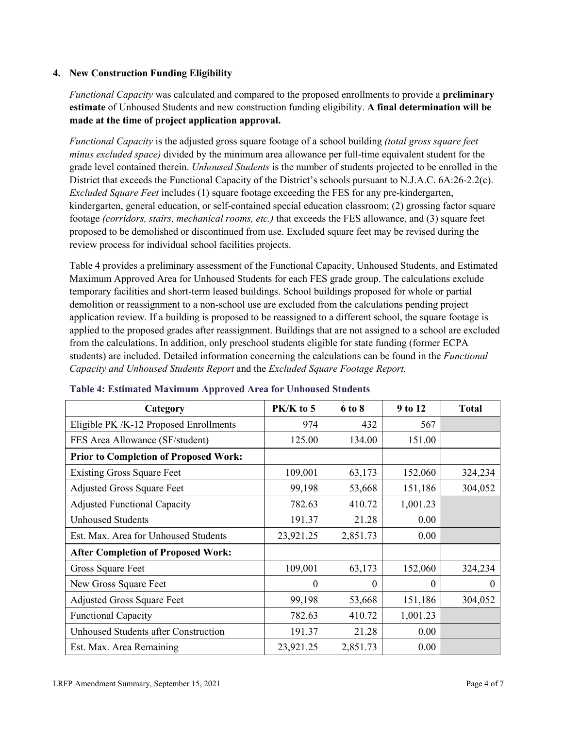#### **4. New Construction Funding Eligibility**

*Functional Capacity* was calculated and compared to the proposed enrollments to provide a **preliminary estimate** of Unhoused Students and new construction funding eligibility. **A final determination will be made at the time of project application approval.**

*Functional Capacity* is the adjusted gross square footage of a school building *(total gross square feet minus excluded space)* divided by the minimum area allowance per full-time equivalent student for the grade level contained therein. *Unhoused Students* is the number of students projected to be enrolled in the District that exceeds the Functional Capacity of the District's schools pursuant to N.J.A.C. 6A:26-2.2(c). *Excluded Square Feet* includes (1) square footage exceeding the FES for any pre-kindergarten, kindergarten, general education, or self-contained special education classroom; (2) grossing factor square footage *(corridors, stairs, mechanical rooms, etc.)* that exceeds the FES allowance, and (3) square feet proposed to be demolished or discontinued from use. Excluded square feet may be revised during the review process for individual school facilities projects.

Table 4 provides a preliminary assessment of the Functional Capacity, Unhoused Students, and Estimated Maximum Approved Area for Unhoused Students for each FES grade group. The calculations exclude temporary facilities and short-term leased buildings. School buildings proposed for whole or partial demolition or reassignment to a non-school use are excluded from the calculations pending project application review. If a building is proposed to be reassigned to a different school, the square footage is applied to the proposed grades after reassignment. Buildings that are not assigned to a school are excluded from the calculations. In addition, only preschool students eligible for state funding (former ECPA students) are included. Detailed information concerning the calculations can be found in the *Functional Capacity and Unhoused Students Report* and the *Excluded Square Footage Report.*

| Category                                     | $PK/K$ to 5 | 6 to 8   | 9 to 12  | <b>Total</b> |
|----------------------------------------------|-------------|----------|----------|--------------|
| Eligible PK /K-12 Proposed Enrollments       | 974         | 432      | 567      |              |
| FES Area Allowance (SF/student)              | 125.00      | 134.00   | 151.00   |              |
| <b>Prior to Completion of Proposed Work:</b> |             |          |          |              |
| <b>Existing Gross Square Feet</b>            | 109,001     | 63,173   | 152,060  | 324,234      |
| <b>Adjusted Gross Square Feet</b>            | 99,198      | 53,668   | 151,186  | 304,052      |
| <b>Adjusted Functional Capacity</b>          | 782.63      | 410.72   | 1,001.23 |              |
| <b>Unhoused Students</b>                     | 191.37      | 21.28    | 0.00     |              |
| Est. Max. Area for Unhoused Students         | 23,921.25   | 2,851.73 | 0.00     |              |
| <b>After Completion of Proposed Work:</b>    |             |          |          |              |
| Gross Square Feet                            | 109,001     | 63,173   | 152,060  | 324,234      |
| New Gross Square Feet                        | $\theta$    | 0        | $\theta$ | $\Omega$     |
| <b>Adjusted Gross Square Feet</b>            | 99,198      | 53,668   | 151,186  | 304,052      |
| <b>Functional Capacity</b>                   | 782.63      | 410.72   | 1,001.23 |              |
| <b>Unhoused Students after Construction</b>  | 191.37      | 21.28    | 0.00     |              |
| Est. Max. Area Remaining                     | 23,921.25   | 2,851.73 | 0.00     |              |

#### **Table 4: Estimated Maximum Approved Area for Unhoused Students**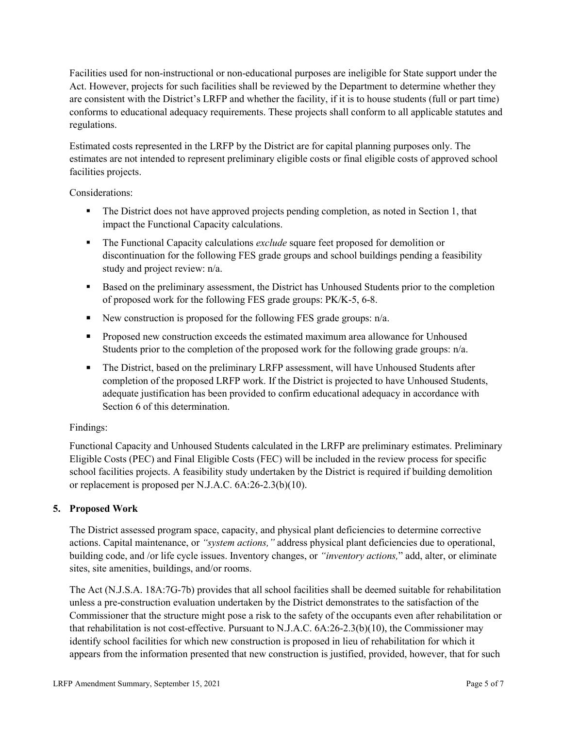Facilities used for non-instructional or non-educational purposes are ineligible for State support under the Act. However, projects for such facilities shall be reviewed by the Department to determine whether they are consistent with the District's LRFP and whether the facility, if it is to house students (full or part time) conforms to educational adequacy requirements. These projects shall conform to all applicable statutes and regulations.

Estimated costs represented in the LRFP by the District are for capital planning purposes only. The estimates are not intended to represent preliminary eligible costs or final eligible costs of approved school facilities projects.

Considerations:

- The District does not have approved projects pending completion, as noted in Section 1, that impact the Functional Capacity calculations.
- **The Functional Capacity calculations** *exclude* square feet proposed for demolition or discontinuation for the following FES grade groups and school buildings pending a feasibility study and project review: n/a.
- Based on the preliminary assessment, the District has Unhoused Students prior to the completion of proposed work for the following FES grade groups: PK/K-5, 6-8.
- New construction is proposed for the following FES grade groups: n/a.
- Proposed new construction exceeds the estimated maximum area allowance for Unhoused Students prior to the completion of the proposed work for the following grade groups: n/a.
- The District, based on the preliminary LRFP assessment, will have Unhoused Students after completion of the proposed LRFP work. If the District is projected to have Unhoused Students, adequate justification has been provided to confirm educational adequacy in accordance with Section 6 of this determination.

# Findings:

Functional Capacity and Unhoused Students calculated in the LRFP are preliminary estimates. Preliminary Eligible Costs (PEC) and Final Eligible Costs (FEC) will be included in the review process for specific school facilities projects. A feasibility study undertaken by the District is required if building demolition or replacement is proposed per N.J.A.C. 6A:26-2.3(b)(10).

# **5. Proposed Work**

The District assessed program space, capacity, and physical plant deficiencies to determine corrective actions. Capital maintenance, or *"system actions,"* address physical plant deficiencies due to operational, building code, and /or life cycle issues. Inventory changes, or *"inventory actions,*" add, alter, or eliminate sites, site amenities, buildings, and/or rooms.

The Act (N.J.S.A. 18A:7G-7b) provides that all school facilities shall be deemed suitable for rehabilitation unless a pre-construction evaluation undertaken by the District demonstrates to the satisfaction of the Commissioner that the structure might pose a risk to the safety of the occupants even after rehabilitation or that rehabilitation is not cost-effective. Pursuant to N.J.A.C. 6A:26-2.3(b)(10), the Commissioner may identify school facilities for which new construction is proposed in lieu of rehabilitation for which it appears from the information presented that new construction is justified, provided, however, that for such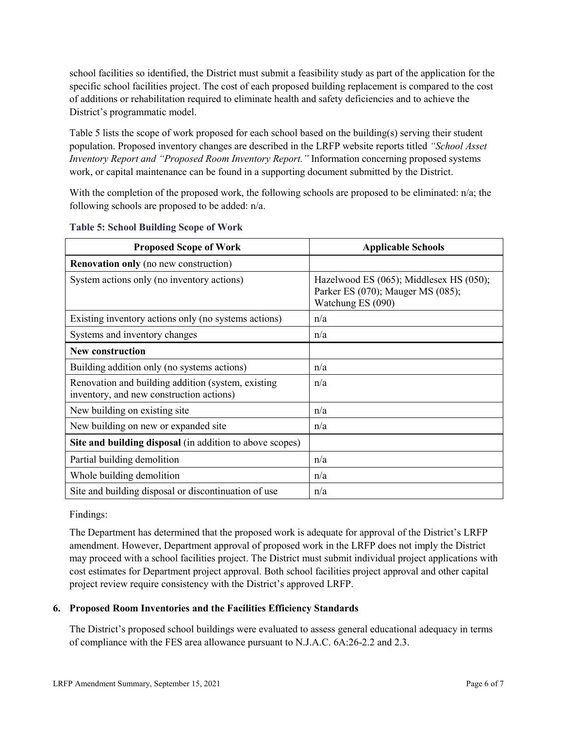school facilities so identified, the District must submit a feasibility study as part of the application for the specific school facilities project. The cost of each proposed building replacement is compared to the cost of additions or rehabilitation required to eliminate health and safety deficiencies and to achieve the District's programmatic model.

Table 5 lists the scope of work proposed for each school based on the building(s) serving their student population. Proposed inventory changes are described in the LRFP website reports titled *"School Asset Inventory Report and "Proposed Room Inventory Report."* Information concerning proposed systems work, or capital maintenance can be found in a supporting document submitted by the District.

With the completion of the proposed work, the following schools are proposed to be eliminated:  $n/a$ ; the following schools are proposed to be added: n/a.

| <b>Proposed Scope of Work</b>                                                                  | <b>Applicable Schools</b>                                                                         |
|------------------------------------------------------------------------------------------------|---------------------------------------------------------------------------------------------------|
| <b>Renovation only</b> (no new construction)                                                   |                                                                                                   |
| System actions only (no inventory actions)                                                     | Hazelwood ES (065); Middlesex HS (050);<br>Parker ES (070); Mauger MS (085);<br>Watchung ES (090) |
| Existing inventory actions only (no systems actions)                                           | n/a                                                                                               |
| Systems and inventory changes                                                                  | n/a                                                                                               |
| <b>New construction</b>                                                                        |                                                                                                   |
| Building addition only (no systems actions)                                                    | n/a                                                                                               |
| Renovation and building addition (system, existing<br>inventory, and new construction actions) | n/a                                                                                               |
| New building on existing site                                                                  | n/a                                                                                               |
| New building on new or expanded site                                                           | n/a                                                                                               |
| Site and building disposal (in addition to above scopes)                                       |                                                                                                   |
| Partial building demolition                                                                    | n/a                                                                                               |
| Whole building demolition                                                                      | n/a                                                                                               |
| Site and building disposal or discontinuation of use                                           | n/a                                                                                               |

#### **Table 5: School Building Scope of Work**

Findings:

The Department has determined that the proposed work is adequate for approval of the District's LRFP amendment. However, Department approval of proposed work in the LRFP does not imply the District may proceed with a school facilities project. The District must submit individual project applications with cost estimates for Department project approval. Both school facilities project approval and other capital project review require consistency with the District's approved LRFP.

# **6. Proposed Room Inventories and the Facilities Efficiency Standards**

The District's proposed school buildings were evaluated to assess general educational adequacy in terms of compliance with the FES area allowance pursuant to N.J.A.C. 6A:26-2.2 and 2.3.